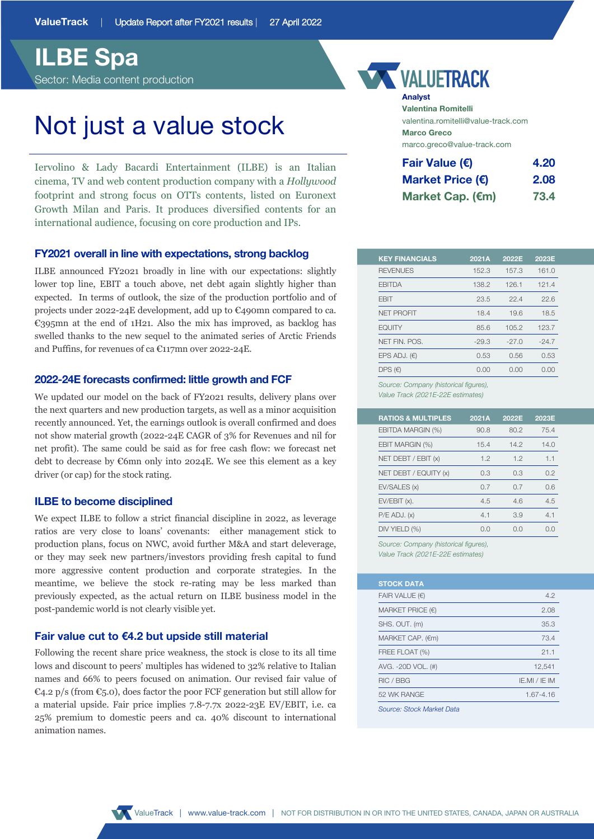# **ILBE Spa**

Sector: Media content production

# Not just a value stock

Iervolino & Lady Bacardi Entertainment (ILBE) is an Italian cinema, TV and web content production company with a *Hollywood*  footprint and strong focus on OTTs contents, listed on Euronext Growth Milan and Paris. It produces diversified contents for an international audience, focusing on core production and IPs.

### **FY2021 overall in line with expectations, strong backlog**

ILBE announced FY2021 broadly in line with our expectations: slightly lower top line, EBIT a touch above, net debt again slightly higher than expected. In terms of outlook, the size of the production portfolio and of projects under 2022-24E development, add up to €490mn compared to ca. €395mn at the end of 1H21. Also the mix has improved, as backlog has swelled thanks to the new sequel to the animated series of Arctic Friends and Puffins, for revenues of ca €117mn over 2022-24E.

## **2022-24E forecasts confirmed: little growth and FCF**

We updated our model on the back of FY2021 results, delivery plans over the next quarters and new production targets, as well as a minor acquisition recently announced. Yet, the earnings outlook is overall confirmed and does not show material growth (2022-24E CAGR of 3% for Revenues and nil for net profit). The same could be said as for free cash flow: we forecast net debt to decrease by €6mn only into 2024E. We see this element as a key driver (or cap) for the stock rating.

# **ILBE to become disciplined**

We expect ILBE to follow a strict financial discipline in 2022, as leverage ratios are very close to loans' covenants: either management stick to production plans, focus on NWC, avoid further M&A and start deleverage, or they may seek new partners/investors providing fresh capital to fund more aggressive content production and corporate strategies. In the meantime, we believe the stock re-rating may be less marked than previously expected, as the actual return on ILBE business model in the post-pandemic world is not clearly visible yet.

### **Fair value cut to €4.2 but upside still material**

Following the recent share price weakness, the stock is close to its all time lows and discount to peers' multiples has widened to 32% relative to Italian names and 66% to peers focused on animation. Our revised fair value of €4.2 p/s (from €5.0), does factor the poor FCF generation but still allow for a material upside. Fair price implies 7.8-7.7x 2022-23E EV/EBIT, i.e. ca 25% premium to domestic peers and ca. 40% discount to international animation names.

# **VALUETRACK**

**Analyst Valentina Romitelli** valentina.romitelli@value-track.com **Marco Greco** marco.greco@value-track.com

| Fair Value (€)            | 4.20 |
|---------------------------|------|
| Market Price $(\epsilon)$ | 2.08 |
| Market Cap. (€m)          | 73.4 |

| 152.3   |                                       |         |
|---------|---------------------------------------|---------|
|         | 157.3                                 | 161.0   |
| 138.2   | 126.1                                 | 121.4   |
| 23.5    | 22.4                                  | 22.6    |
| 18.4    | 19.6                                  | 18.5    |
| 85.6    | 105.2                                 | 123.7   |
| $-29.3$ | $-27.0$                               | $-24.7$ |
| 0.53    | 0.56                                  | 0.53    |
| 0.00    | 0.00                                  | 0.00    |
|         | Source: Company (historical figures), |         |

*Value Track (2021E-22E estimates)*

| 2022E | 2023E |
|-------|-------|
| 80.2  | 75.4  |
| 14.2  | 14.0  |
| 12    | 1.1   |
| 0.3   | 0.2   |
| 0.7   | 0.6   |
| 4.6   | 4.5   |
| 3.9   | 41    |
| O.O   | n n   |
|       |       |

*Source: Company (historical figures), Value Track (2021E-22E estimates)*

| <b>STOCK DATA</b>         |               |
|---------------------------|---------------|
| FAIR VALUE $(\epsilon)$   | 4.2           |
| MARKET PRICE $(\epsilon)$ | 2.08          |
| SHS. OUT. (m)             | 35.3          |
| MARKET CAP. (€m)          | 73.4          |
| FREE FLOAT (%)            | 21.1          |
| AVG. -20D VOL. (#)        | 12,541        |
| RIC / BBG                 | IE.MI / IE IM |
| 52 WK RANGE               | 1.67-4.16     |
| Source: Stock Market Data |               |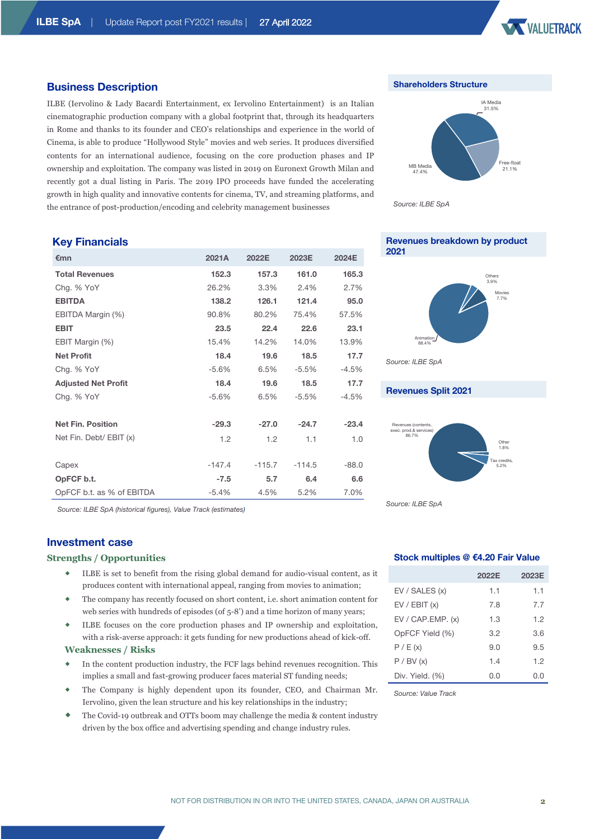ILBE (Iervolino & Lady Bacardi Entertainment, ex Iervolino Entertainment) is an Italian cinematographic production company with a global footprint that, through its headquarters in Rome and thanks to its founder and CEO's relationships and experience in the world of Cinema, is able to produce "Hollywood Style" movies and web series. It produces diversified contents for an international audience, focusing on the core production phases and IP ownership and exploitation. The company was listed in 2019 on Euronext Growth Milan and recently got a dual listing in Paris. The 2019 IPO proceeds have funded the accelerating growth in high quality and innovative contents for cinema, TV, and streaming platforms, and

the entrance of post-production/encoding and celebrity management businesses



### **Shareholders Structure**



*Source: ILBE SpA*

# **Key Financials**

**Business Description**

| €mn                        | 2021A    | 2022E    | 2023E    | 2024E   |
|----------------------------|----------|----------|----------|---------|
| <b>Total Revenues</b>      | 152.3    | 157.3    | 161.0    | 165.3   |
| Chg. % YoY                 | 26.2%    | 3.3%     | 2.4%     | 2.7%    |
| <b>EBITDA</b>              | 138.2    | 126.1    | 121.4    | 95.0    |
| EBITDA Margin (%)          | 90.8%    | 80.2%    | 75.4%    | 57.5%   |
| <b>EBIT</b>                | 23.5     | 22.4     | 22.6     | 23.1    |
| EBIT Margin (%)            | 15.4%    | 14.2%    | 14.0%    | 13.9%   |
| <b>Net Profit</b>          | 18.4     | 19.6     | 18.5     | 17.7    |
| Chg. % YoY                 | $-5.6%$  | 6.5%     | $-5.5%$  | $-4.5%$ |
| <b>Adjusted Net Profit</b> | 18.4     | 19.6     | 18.5     | 17.7    |
| Chg. % YoY                 | $-5.6%$  | 6.5%     | $-5.5%$  | $-4.5%$ |
|                            |          |          |          |         |
| <b>Net Fin. Position</b>   | $-29.3$  | $-27.0$  | $-24.7$  | $-23.4$ |
| Net Fin. Debt/ EBIT (x)    | 1.2      | 1.2      | 1.1      | 1.0     |
|                            |          |          |          |         |
| Capex                      | $-147.4$ | $-115.7$ | $-114.5$ | $-88.0$ |
| OpFCF b.t.                 | $-7.5$   | 5.7      | 6.4      | 6.6     |
| OpFCF b.t. as % of EBITDA  | $-5.4%$  | 4.5%     | 5.2%     | 7.0%    |

*Source: ILBE SpA (historical figures), Value Track (estimates)*

## **Investment case**

#### **Strengths / Opportunities**

- ILBE is set to benefit from the rising global demand for audio-visual content, as it produces content with international appeal, ranging from movies to animation;
- The company has recently focused on short content, i.e. short animation content for web series with hundreds of episodes (of  $5-8'$ ) and a time horizon of many years;
- ILBE focuses on the core production phases and IP ownership and exploitation, with a risk-averse approach: it gets funding for new productions ahead of kick-off.

# **Weaknesses / Risks**

- In the content production industry, the FCF lags behind revenues recognition. This implies a small and fast-growing producer faces material ST funding needs;
- The Company is highly dependent upon its founder, CEO, and Chairman Mr. Iervolino, given the lean structure and his key relationships in the industry;
- The Covid-19 outbreak and OTTs boom may challenge the media & content industry driven by the box office and advertising spending and change industry rules.

# **Revenues breakdown by product 2021**



#### **Revenues Split 2021**



*Source: ILBE SpA*

### **Stock multiples @ €4.20 Fair Value**

|                    | 2022E | 2023E |
|--------------------|-------|-------|
| EV / SALES (x)     | 1.1   | 1.1   |
| EV / EBIT (x)      | 7.8   | 7.7   |
| EV / CAP. EMP. (x) | 1.3   | 1.2   |
| OpFCF Yield (%)    | 3.2   | 3.6   |
| P / E(x)           | 9.0   | 9.5   |
| P / BV (x)         | 1.4   | 1.2   |
| Div. Yield. (%)    | 0.0   | O.O   |

*Source: Value Track*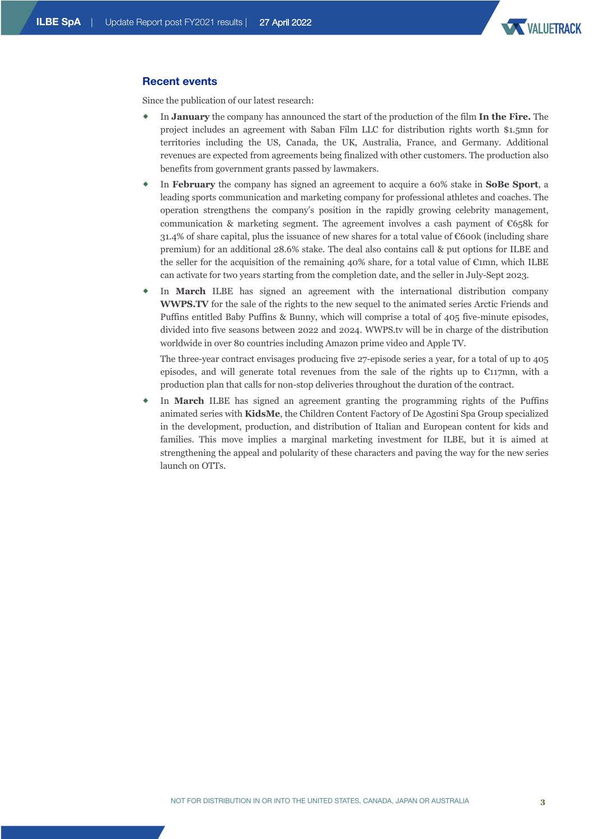

## **Recent events**

Since the publication of our latest research:

- ® In **January** the company has announced the start of the production of the film **In the Fire.** The project includes an agreement with Saban Film LLC for distribution rights worth \$1.5mn for territories including the US, Canada, the UK, Australia, France, and Germany. Additional revenues are expected from agreements being finalized with other customers. The production also benefits from government grants passed by lawmakers.
- In **February** the company has signed an agreement to acquire a 60% stake in **SoBe Sport**, a leading sports communication and marketing company for professional athletes and coaches. The operation strengthens the company's position in the rapidly growing celebrity management, communication & marketing segment. The agreement involves a cash payment of  $\mathfrak{C}658k$  for 31.4% of share capital, plus the issuance of new shares for a total value of €600k (including share premium) for an additional 28.6% stake. The deal also contains call & put options for ILBE and the seller for the acquisition of the remaining 40% share, for a total value of  $\mathfrak{C}$ 1mn, which ILBE can activate for two years starting from the completion date, and the seller in July-Sept 2023.
- In **March** ILBE has signed an agreement with the international distribution company **WWPS.TV** for the sale of the rights to the new sequel to the animated series Arctic Friends and Puffins entitled Baby Puffins & Bunny, which will comprise a total of 405 five-minute episodes, divided into five seasons between 2022 and 2024. WWPS.tv will be in charge of the distribution worldwide in over 80 countries including Amazon prime video and Apple TV.

The three-year contract envisages producing five 27-episode series a year, for a total of up to 405 episodes, and will generate total revenues from the sale of the rights up to  $\epsilon_{117}$ mn, with a production plan that calls for non-stop deliveries throughout the duration of the contract.

In **March** ILBE has signed an agreement granting the programming rights of the Puffins animated series with **KidsMe**, the Children Content Factory of De Agostini Spa Group specialized in the development, production, and distribution of Italian and European content for kids and families. This move implies a marginal marketing investment for ILBE, but it is aimed at strengthening the appeal and polularity of these characters and paving the way for the new series launch on OTTs.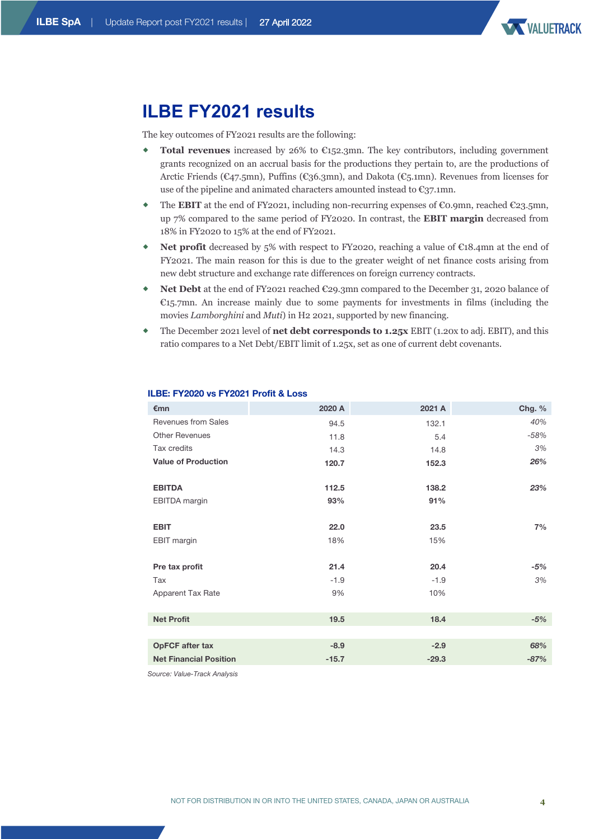

# **ILBE FY2021 results**

The key outcomes of FY2021 results are the following:

- **Total revenues** increased by 26% to  $\epsilon$ 152.3mn. The key contributors, including government grants recognized on an accrual basis for the productions they pertain to, are the productions of Arctic Friends (€47.5mn), Puffins (€36.3mn), and Dakota (€5.1mn). Revenues from licenses for use of the pipeline and animated characters amounted instead to  $\epsilon_{37.1}$ mn.
- The **EBIT** at the end of FY2021, including non-recurring expenses of  $\epsilon$ 0.9mn, reached  $\epsilon$ 23.5mn, up 7% compared to the same period of FY2020. In contrast, the **EBIT margin** decreased from 18% in FY2020 to 15% at the end of FY2021.
- Net profit decreased by 5% with respect to FY2020, reaching a value of €18.4mn at the end of FY2021. The main reason for this is due to the greater weight of net finance costs arising from new debt structure and exchange rate differences on foreign currency contracts.
- ® **Net Debt** at the end of FY2021 reached €29.3mn compared to the December 31, 2020 balance of  $E_{15.7}$ mn. An increase mainly due to some payments for investments in films (including the movies *Lamborghini* and *Muti*) in H2 2021, supported by new financing.
- ® The December 2021 level of **net debt corresponds to 1.25x** EBIT (1.20x to adj. EBIT), and this ratio compares to a Net Debt/EBIT limit of 1.25x, set as one of current debt covenants.

| €mn                           | 2020 A  | 2021 A  | Chg. % |
|-------------------------------|---------|---------|--------|
| <b>Revenues from Sales</b>    | 94.5    | 132.1   | 40%    |
| <b>Other Revenues</b>         | 11.8    | 5.4     | $-58%$ |
| Tax credits                   | 14.3    | 14.8    | 3%     |
| <b>Value of Production</b>    | 120.7   | 152.3   | 26%    |
| <b>EBITDA</b>                 | 112.5   | 138.2   | 23%    |
| EBITDA margin                 | 93%     | 91%     |        |
| <b>EBIT</b>                   | 22.0    | 23.5    | 7%     |
| <b>EBIT</b> margin            | 18%     | 15%     |        |
| Pre tax profit                | 21.4    | 20.4    | -5%    |
| Tax                           | $-1.9$  | $-1.9$  | 3%     |
| Apparent Tax Rate             | 9%      | 10%     |        |
|                               |         |         |        |
| <b>Net Profit</b>             | 19.5    | 18.4    | $-5%$  |
|                               |         |         |        |
| <b>OpFCF</b> after tax        | $-8.9$  | $-2.9$  | 68%    |
| <b>Net Financial Position</b> | $-15.7$ | $-29.3$ | $-87%$ |

### **ILBE: FY2020 vs FY2021 Profit & Loss**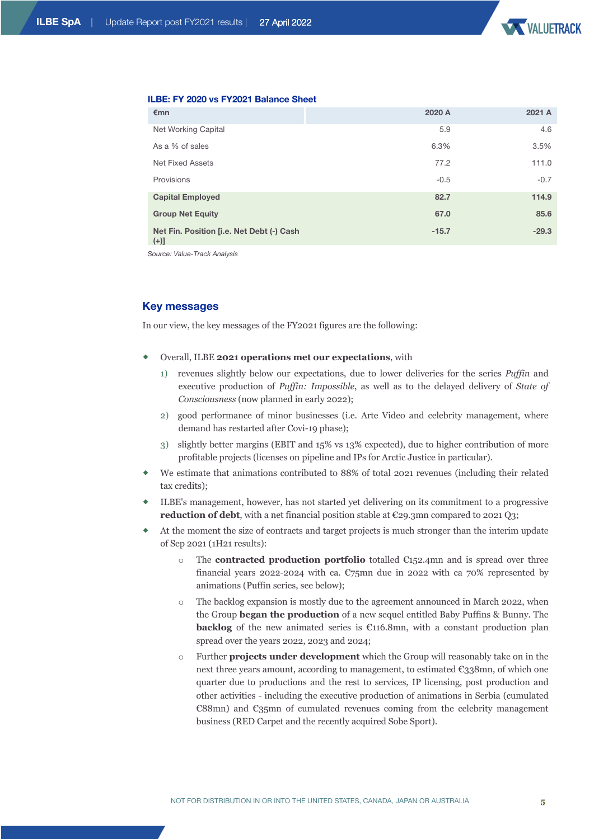

### **ILBE: FY 2020 vs FY2021 Balance Sheet**

| €mn                                                 | 2020 A  | 2021 A  |
|-----------------------------------------------------|---------|---------|
| Net Working Capital                                 | 5.9     | 4.6     |
| As a % of sales                                     | 6.3%    | 3.5%    |
| <b>Net Fixed Assets</b>                             | 77.2    | 111.0   |
| Provisions                                          | $-0.5$  | $-0.7$  |
| <b>Capital Employed</b>                             | 82.7    | 114.9   |
| <b>Group Net Equity</b>                             | 67.0    | 85.6    |
| Net Fin. Position [i.e. Net Debt (-) Cash<br>$(+)]$ | $-15.7$ | $-29.3$ |

*Source: Value-Track Analysis*

# **Key messages**

In our view, the key messages of the FY2021 figures are the following:

- ® Overall, ILBE **2021 operations met our expectations**, with
	- 1) revenues slightly below our expectations, due to lower deliveries for the series *Puffin* and executive production of *Puffin: Impossible*, as well as to the delayed delivery of *State of Consciousness* (now planned in early 2022);
	- 2) good performance of minor businesses (i.e. Arte Video and celebrity management, where demand has restarted after Covi-19 phase);
	- 3) slightly better margins (EBIT and 15% vs 13% expected), due to higher contribution of more profitable projects (licenses on pipeline and IPs for Arctic Justice in particular).
- We estimate that animations contributed to 88% of total 2021 revenues (including their related tax credits);
- ® ILBE's management, however, has not started yet delivering on its commitment to a progressive reduction of debt, with a net financial position stable at €29.3mn compared to 2021 Q3;
- At the moment the size of contracts and target projects is much stronger than the interim update of Sep 2021 (1H21 results):
	- o The **contracted production portfolio** totalled €152.4mn and is spread over three financial years 2022-2024 with ca.  $\mathcal{C}75$ mn due in 2022 with ca 70% represented by animations (Puffin series, see below);
	- o The backlog expansion is mostly due to the agreement announced in March 2022, when the Group **began the production** of a new sequel entitled Baby Puffins & Bunny. The **backlog** of the new animated series is €116.8mn, with a constant production plan spread over the years 2022, 2023 and 2024;
	- o Further **projects under development** which the Group will reasonably take on in the next three years amount, according to management, to estimated €338mn, of which one quarter due to productions and the rest to services, IP licensing, post production and other activities - including the executive production of animations in Serbia (cumulated €88mn) and €35mn of cumulated revenues coming from the celebrity management business (RED Carpet and the recently acquired Sobe Sport).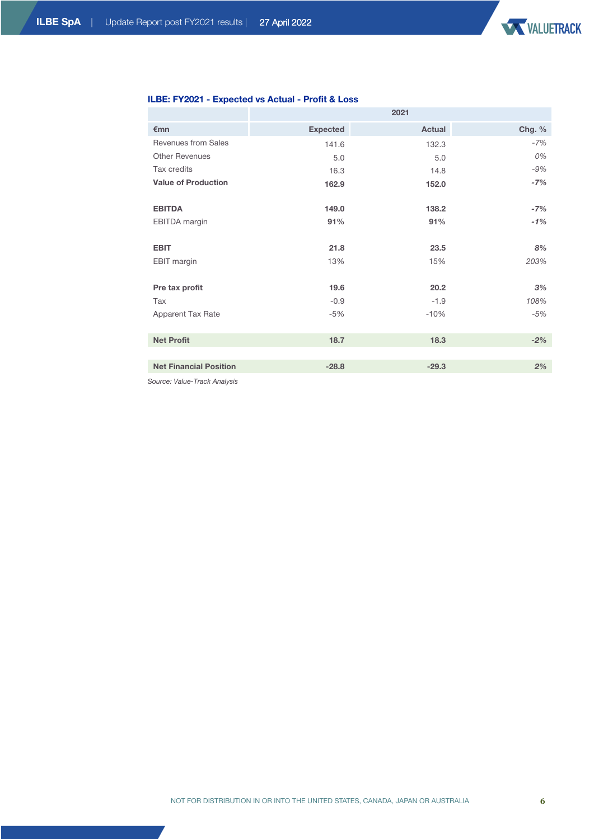

# **ILBE: FY2021 - Expected vs Actual - Profit & Loss**

|                               | 2021            |         |          |  |  |
|-------------------------------|-----------------|---------|----------|--|--|
| $\epsilon$ mn                 | <b>Expected</b> | Actual  | Chg. $%$ |  |  |
| Revenues from Sales           | 141.6           | 132.3   | $-7%$    |  |  |
| <b>Other Revenues</b>         | 5.0             | 5.0     | 0%       |  |  |
| Tax credits                   | 16.3            | 14.8    | $-9%$    |  |  |
| <b>Value of Production</b>    | 162.9           | 152.0   | $-7%$    |  |  |
|                               |                 |         |          |  |  |
| <b>EBITDA</b>                 | 149.0           | 138.2   | $-7%$    |  |  |
| <b>EBITDA</b> margin          | 91%             | 91%     | $-1%$    |  |  |
|                               |                 |         |          |  |  |
| <b>EBIT</b>                   | 21.8            | 23.5    | 8%       |  |  |
| <b>EBIT</b> margin            | 13%             | 15%     | 203%     |  |  |
|                               |                 |         |          |  |  |
| Pre tax profit                | 19.6            | 20.2    | 3%       |  |  |
| Tax                           | $-0.9$          | $-1.9$  | 108%     |  |  |
| Apparent Tax Rate             | $-5%$           | $-10%$  | $-5%$    |  |  |
|                               |                 |         |          |  |  |
| <b>Net Profit</b>             | 18.7            | 18.3    | $-2%$    |  |  |
|                               |                 |         |          |  |  |
| <b>Net Financial Position</b> | $-28.8$         | $-29.3$ | 2%       |  |  |
|                               |                 |         |          |  |  |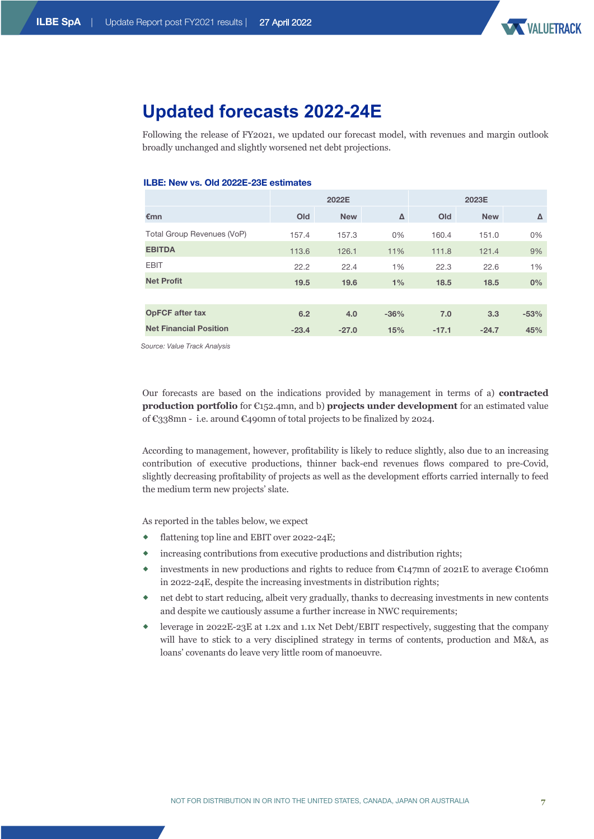

# **Updated forecasts 2022-24E**

Following the release of FY2021, we updated our forecast model, with revenues and margin outlook broadly unchanged and slightly worsened net debt projections.

### **ILBE: New vs. Old 2022E-23E estimates**

|                               | 2022E   |            |        |         | 2023E      |        |
|-------------------------------|---------|------------|--------|---------|------------|--------|
| $\epsilon$ mn                 | Old     | <b>New</b> | Δ      | Old     | <b>New</b> | Δ      |
| Total Group Revenues (VoP)    | 157.4   | 157.3      | 0%     | 160.4   | 151.0      | 0%     |
| <b>EBITDA</b>                 | 113.6   | 126.1      | 11%    | 111.8   | 121.4      | 9%     |
| <b>EBIT</b>                   | 22.2    | 22.4       | 1%     | 22.3    | 22.6       | 1%     |
| <b>Net Profit</b>             | 19.5    | 19.6       | 1%     | 18.5    | 18.5       | 0%     |
|                               |         |            |        |         |            |        |
| <b>OpFCF after tax</b>        | 6.2     | 4.0        | $-36%$ | 7.0     | 3.3        | $-53%$ |
| <b>Net Financial Position</b> | $-23.4$ | $-27.0$    | 15%    | $-17.1$ | $-24.7$    | 45%    |

*Source: Value Track Analysis*

Our forecasts are based on the indications provided by management in terms of a) **contracted production portfolio** for €152.4mn, and b) **projects under development** for an estimated value of €338mn - i.e. around €490mn of total projects to be finalized by 2024.

According to management, however, profitability is likely to reduce slightly, also due to an increasing contribution of executive productions, thinner back-end revenues flows compared to pre-Covid, slightly decreasing profitability of projects as well as the development efforts carried internally to feed the medium term new projects' slate.

As reported in the tables below, we expect

- flattening top line and EBIT over 2022-24E;
- ® increasing contributions from executive productions and distribution rights;
- investments in new productions and rights to reduce from  $\epsilon_{147}$ mn of 2021E to average  $\epsilon_{10}$ 6mn in 2022-24E, despite the increasing investments in distribution rights;
- net debt to start reducing, albeit very gradually, thanks to decreasing investments in new contents and despite we cautiously assume a further increase in NWC requirements;
- ® leverage in 2022E-23E at 1.2x and 1.1x Net Debt/EBIT respectively, suggesting that the company will have to stick to a very disciplined strategy in terms of contents, production and M&A, as loans' covenants do leave very little room of manoeuvre.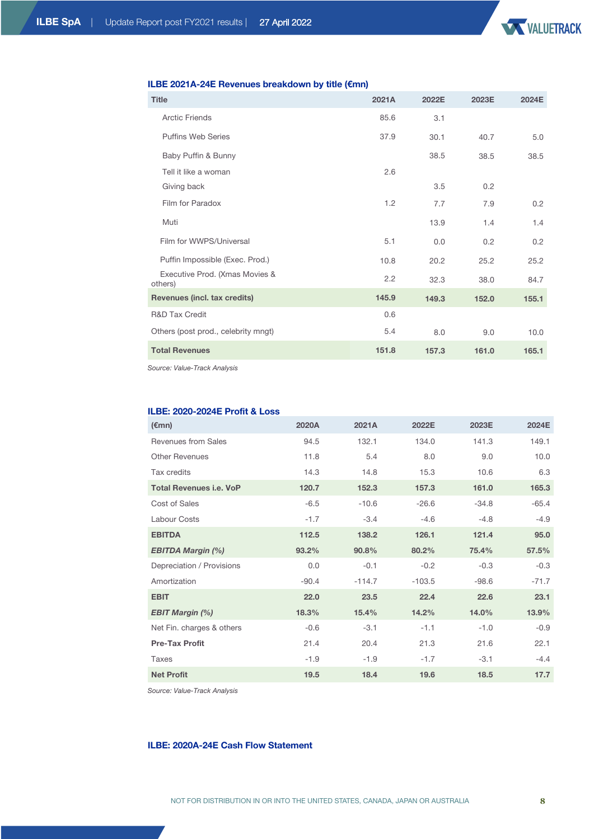

# **ILBE 2021A-24E Revenues breakdown by title (€mn)**

| <b>Title</b>                              | 2021A | 2022E | 2023E | 2024E |
|-------------------------------------------|-------|-------|-------|-------|
| <b>Arctic Friends</b>                     | 85.6  | 3.1   |       |       |
| <b>Puffins Web Series</b>                 | 37.9  | 30.1  | 40.7  | 5.0   |
| Baby Puffin & Bunny                       |       | 38.5  | 38.5  | 38.5  |
| Tell it like a woman                      | 2.6   |       |       |       |
| Giving back                               |       | 3.5   | 0.2   |       |
| Film for Paradox                          | 1.2   | 7.7   | 7.9   | 0.2   |
| Muti                                      |       | 13.9  | 1.4   | 1.4   |
| Film for WWPS/Universal                   | 5.1   | 0.0   | 0.2   | 0.2   |
| Puffin Impossible (Exec. Prod.)           | 10.8  | 20.2  | 25.2  | 25.2  |
| Executive Prod. (Xmas Movies &<br>others) | 2.2   | 32.3  | 38.0  | 84.7  |
| Revenues (incl. tax credits)              | 145.9 | 149.3 | 152.0 | 155.1 |
| <b>R&amp;D Tax Credit</b>                 | 0.6   |       |       |       |
| Others (post prod., celebrity mngt)       | 5.4   | 8.0   | 9.0   | 10.0  |
| <b>Total Revenues</b>                     | 151.8 | 157.3 | 161.0 | 165.1 |

*Source: Value-Track Analysis* 

### **ILBE: 2020-2024E Profit & Loss**

| $(\epsilon$ mn)                | 2020A   | 2021A    | 2022E    | 2023E   | 2024E   |
|--------------------------------|---------|----------|----------|---------|---------|
| Revenues from Sales            | 94.5    | 132.1    | 134.0    | 141.3   | 149.1   |
| <b>Other Revenues</b>          | 11.8    | 5.4      | 8.0      | 9.0     | 10.0    |
| Tax credits                    | 14.3    | 14.8     | 15.3     | 10.6    | 6.3     |
| <b>Total Revenues i.e. VoP</b> | 120.7   | 152.3    | 157.3    | 161.0   | 165.3   |
| Cost of Sales                  | $-6.5$  | $-10.6$  | $-26.6$  | $-34.8$ | $-65.4$ |
| <b>Labour Costs</b>            | $-1.7$  | $-3.4$   | $-4.6$   | $-4.8$  | $-4.9$  |
| <b>EBITDA</b>                  | 112.5   | 138.2    | 126.1    | 121.4   | 95.0    |
| <b>EBITDA Margin (%)</b>       | 93.2%   | 90.8%    | 80.2%    | 75.4%   | 57.5%   |
| Depreciation / Provisions      | 0.0     | $-0.1$   | $-0.2$   | $-0.3$  | $-0.3$  |
| Amortization                   | $-90.4$ | $-114.7$ | $-103.5$ | $-98.6$ | $-71.7$ |
| <b>EBIT</b>                    | 22.0    | 23.5     | 22.4     | 22.6    | 23.1    |
| <b>EBIT Margin (%)</b>         | 18.3%   | 15.4%    | 14.2%    | 14.0%   | 13.9%   |
| Net Fin. charges & others      | $-0.6$  | $-3.1$   | $-1.1$   | $-1.0$  | $-0.9$  |
| <b>Pre-Tax Profit</b>          | 21.4    | 20.4     | 21.3     | 21.6    | 22.1    |
| Taxes                          | $-1.9$  | $-1.9$   | $-1.7$   | $-3.1$  | $-4.4$  |
| <b>Net Profit</b>              | 19.5    | 18.4     | 19.6     | 18.5    | 17.7    |

*Source: Value-Track Analysis*

# **ILBE: 2020A-24E Cash Flow Statement**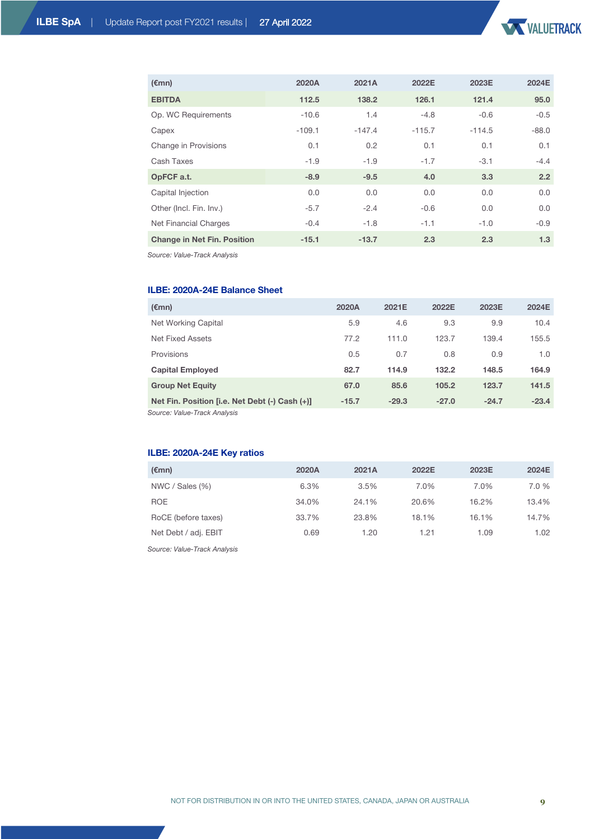

| $(\epsilon$ mn)                    | 2020A    | 2021A    | 2022E    | 2023E    | 2024E   |
|------------------------------------|----------|----------|----------|----------|---------|
| <b>EBITDA</b>                      | 112.5    | 138.2    | 126.1    | 121.4    | 95.0    |
| Op. WC Requirements                | $-10.6$  | 1.4      | $-4.8$   | $-0.6$   | $-0.5$  |
| Capex                              | $-109.1$ | $-147.4$ | $-115.7$ | $-114.5$ | $-88.0$ |
| Change in Provisions               | 0.1      | 0.2      | 0.1      | 0.1      | 0.1     |
| Cash Taxes                         | $-1.9$   | $-1.9$   | $-1.7$   | $-3.1$   | $-4.4$  |
| OpFCF a.t.                         | $-8.9$   | $-9.5$   | 4.0      | 3.3      | 2.2     |
| Capital Injection                  | 0.0      | 0.0      | 0.0      | 0.0      | 0.0     |
| Other (Incl. Fin. Inv.)            | $-5.7$   | $-2.4$   | $-0.6$   | 0.0      | 0.0     |
| Net Financial Charges              | $-0.4$   | $-1.8$   | $-1.1$   | $-1.0$   | $-0.9$  |
| <b>Change in Net Fin. Position</b> | $-15.1$  | $-13.7$  | 2.3      | 2.3      | 1.3     |

*Source: Value-Track Analysis*

# **ILBE: 2020A-24E Balance Sheet**

| $(\epsilon$ mn)                                | 2020A   | 2021E   | 2022E   | 2023E   | 2024E   |
|------------------------------------------------|---------|---------|---------|---------|---------|
| Net Working Capital                            | 5.9     | 4.6     | 9.3     | 9.9     | 10.4    |
| Net Fixed Assets                               | 77.2    | 111.0   | 123.7   | 139.4   | 155.5   |
| Provisions                                     | 0.5     | 0.7     | 0.8     | 0.9     | 1.0     |
| <b>Capital Employed</b>                        | 82.7    | 114.9   | 132.2   | 148.5   | 164.9   |
| <b>Group Net Equity</b>                        | 67.0    | 85.6    | 105.2   | 123.7   | 141.5   |
| Net Fin. Position [i.e. Net Debt (-) Cash (+)] | $-15.7$ | $-29.3$ | $-27.0$ | $-24.7$ | $-23.4$ |

*Source: Value-Track Analysis*

# **ILBE: 2020A-24E Key ratios**

| $(\epsilon$ mn)      | 2020A | 2021A | 2022E | 2023E | 2024E |
|----------------------|-------|-------|-------|-------|-------|
| NWC / Sales (%)      | 6.3%  | 3.5%  | 7.0%  | 7.0%  | 7.0 % |
| <b>ROE</b>           | 34.0% | 24.1% | 20.6% | 16.2% | 13.4% |
| RoCE (before taxes)  | 33.7% | 23.8% | 18.1% | 16.1% | 14.7% |
| Net Debt / adj. EBIT | 0.69  | 1.20  | 1.21  | 1.09  | 1.02  |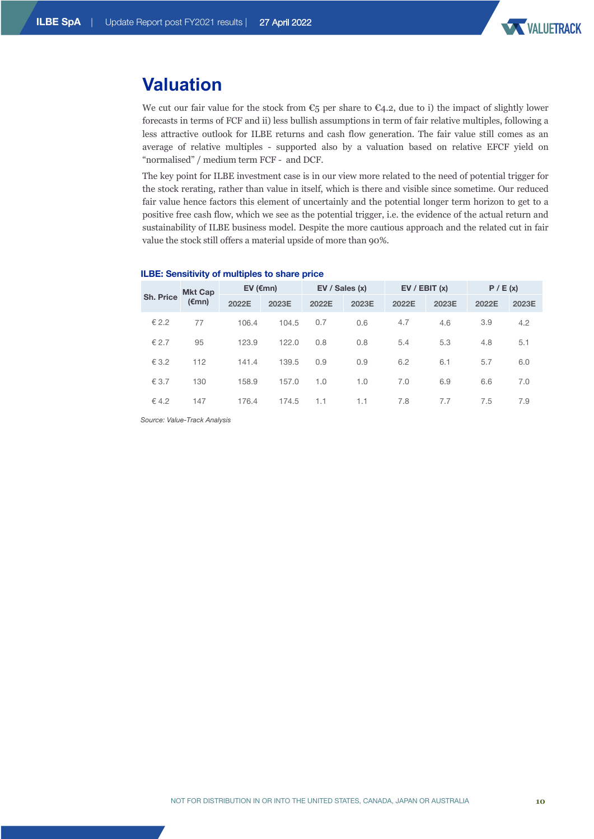

# **Valuation**

We cut our fair value for the stock from  $\mathfrak{C}_5$  per share to  $\mathfrak{C}_4$ . due to i) the impact of slightly lower forecasts in terms of FCF and ii) less bullish assumptions in term of fair relative multiples, following a less attractive outlook for ILBE returns and cash flow generation. The fair value still comes as an average of relative multiples - supported also by a valuation based on relative EFCF yield on "normalised" / medium term FCF - and DCF.

The key point for ILBE investment case is in our view more related to the need of potential trigger for the stock rerating, rather than value in itself, which is there and visible since sometime. Our reduced fair value hence factors this element of uncertainly and the potential longer term horizon to get to a positive free cash flow, which we see as the potential trigger, i.e. the evidence of the actual return and sustainability of ILBE business model. Despite the more cautious approach and the related cut in fair value the stock still offers a material upside of more than 90%.

|           |                 | <b>Mkt Cap</b> | EV ( $\epsilon$ mn) |       | EV / Sales (x) |       | EV / EBIT (x) |       | P / E(x) |     |
|-----------|-----------------|----------------|---------------------|-------|----------------|-------|---------------|-------|----------|-----|
| Sh. Price | $(\epsilon$ mn) | 2022E          | 2023E               | 2022E | 2023E          | 2022E | 2023E         | 2022E | 2023E    |     |
|           | € 2.2           | 77             | 106.4               | 104.5 | 0.7            | 0.6   | 4.7           | 4.6   | 3.9      | 4.2 |
|           | € 2.7           | 95             | 123.9               | 122.0 | 0.8            | 0.8   | 5.4           | 5.3   | 4.8      | 5.1 |
|           | € 3.2           | 112            | 141.4               | 139.5 | 0.9            | 0.9   | 6.2           | 6.1   | 5.7      | 6.0 |
|           | € 3.7           | 130            | 158.9               | 157.0 | 1.0            | 1.0   | 7.0           | 6.9   | 6.6      | 7.0 |
|           | € 4.2           | 147            | 176.4               | 174.5 | 1.1            | 1.1   | 7.8           | 7.7   | 7.5      | 7.9 |
|           |                 |                |                     |       |                |       |               |       |          |     |

### **ILBE: Sensitivity of multiples to share price**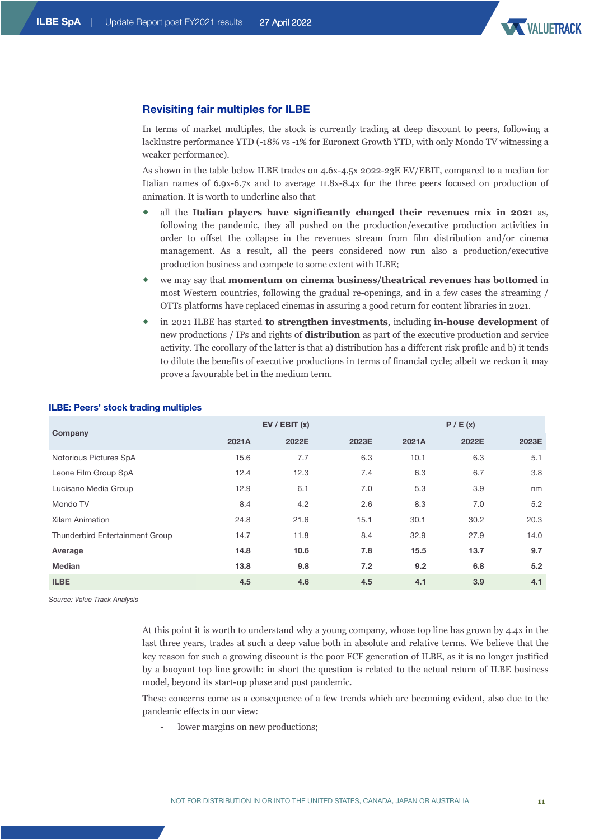

# **Revisiting fair multiples for ILBE**

In terms of market multiples, the stock is currently trading at deep discount to peers, following a lacklustre performance YTD (-18% vs -1% for Euronext Growth YTD, with only Mondo TV witnessing a weaker performance).

As shown in the table below ILBE trades on 4.6x-4.5x 2022-23E EV/EBIT, compared to a median for Italian names of 6.9x-6.7x and to average 11.8x-8.4x for the three peers focused on production of animation. It is worth to underline also that

- ® all the **Italian players have significantly changed their revenues mix in 2021** as, following the pandemic, they all pushed on the production/executive production activities in order to offset the collapse in the revenues stream from film distribution and/or cinema management. As a result, all the peers considered now run also a production/executive production business and compete to some extent with ILBE;
- ® we may say that **momentum on cinema business/theatrical revenues has bottomed** in most Western countries, following the gradual re-openings, and in a few cases the streaming / OTTs platforms have replaced cinemas in assuring a good return for content libraries in 2021.
- ® in 2021 ILBE has started **to strengthen investments**, including **in-house development** of new productions / IPs and rights of **distribution** as part of the executive production and service activity. The corollary of the latter is that a) distribution has a different risk profile and b) it tends to dilute the benefits of executive productions in terms of financial cycle; albeit we reckon it may prove a favourable bet in the medium term.

|                                 | EV / EBIT (x) |       |       | P / E (x) |       |       |  |
|---------------------------------|---------------|-------|-------|-----------|-------|-------|--|
| Company                         | 2021A         | 2022E | 2023E | 2021A     | 2022E | 2023E |  |
| Notorious Pictures SpA          | 15.6          | 7.7   | 6.3   | 10.1      | 6.3   | 5.1   |  |
| Leone Film Group SpA            | 12.4          | 12.3  | 7.4   | 6.3       | 6.7   | 3.8   |  |
| Lucisano Media Group            | 12.9          | 6.1   | 7.0   | 5.3       | 3.9   | nm    |  |
| Mondo TV                        | 8.4           | 4.2   | 2.6   | 8.3       | 7.0   | 5.2   |  |
| <b>Xilam Animation</b>          | 24.8          | 21.6  | 15.1  | 30.1      | 30.2  | 20.3  |  |
| Thunderbird Entertainment Group | 14.7          | 11.8  | 8.4   | 32.9      | 27.9  | 14.0  |  |
| Average                         | 14.8          | 10.6  | 7.8   | 15.5      | 13.7  | 9.7   |  |
| <b>Median</b>                   | 13.8          | 9.8   | 7.2   | 9.2       | 6.8   | 5.2   |  |
| <b>ILBE</b>                     | 4.5           | 4.6   | 4.5   | 4.1       | 3.9   | 4.1   |  |

### **ILBE: Peers' stock trading multiples**

*Source: Value Track Analysis*

At this point it is worth to understand why a young company, whose top line has grown by 4.4x in the last three years, trades at such a deep value both in absolute and relative terms. We believe that the key reason for such a growing discount is the poor FCF generation of ILBE, as it is no longer justified by a buoyant top line growth: in short the question is related to the actual return of ILBE business model, beyond its start-up phase and post pandemic.

These concerns come as a consequence of a few trends which are becoming evident, also due to the pandemic effects in our view:

lower margins on new productions: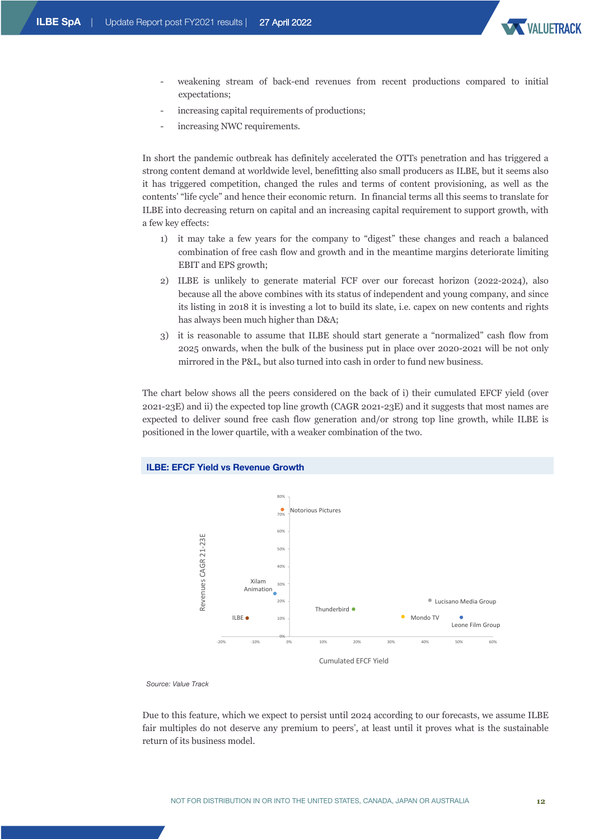

- weakening stream of back-end revenues from recent productions compared to initial expectations;
- increasing capital requirements of productions;
- increasing NWC requirements.

In short the pandemic outbreak has definitely accelerated the OTTs penetration and has triggered a strong content demand at worldwide level, benefitting also small producers as ILBE, but it seems also it has triggered competition, changed the rules and terms of content provisioning, as well as the contents' "life cycle" and hence their economic return. In financial terms all this seems to translate for ILBE into decreasing return on capital and an increasing capital requirement to support growth, with a few key effects:

- 1) it may take a few years for the company to "digest" these changes and reach a balanced combination of free cash flow and growth and in the meantime margins deteriorate limiting EBIT and EPS growth;
- 2) ILBE is unlikely to generate material FCF over our forecast horizon (2022-2024), also because all the above combines with its status of independent and young company, and since its listing in 2018 it is investing a lot to build its slate, i.e. capex on new contents and rights has always been much higher than D&A;
- 3) it is reasonable to assume that ILBE should start generate a "normalized" cash flow from 2025 onwards, when the bulk of the business put in place over 2020-2021 will be not only mirrored in the P&L, but also turned into cash in order to fund new business.

The chart below shows all the peers considered on the back of i) their cumulated EFCF yield (over 2021-23E) and ii) the expected top line growth (CAGR 2021-23E) and it suggests that most names are expected to deliver sound free cash flow generation and/or strong top line growth, while ILBE is positioned in the lower quartile, with a weaker combination of the two.



*Source: Value Track*

Due to this feature, which we expect to persist until 2024 according to our forecasts, we assume ILBE fair multiples do not deserve any premium to peers', at least until it proves what is the sustainable return of its business model.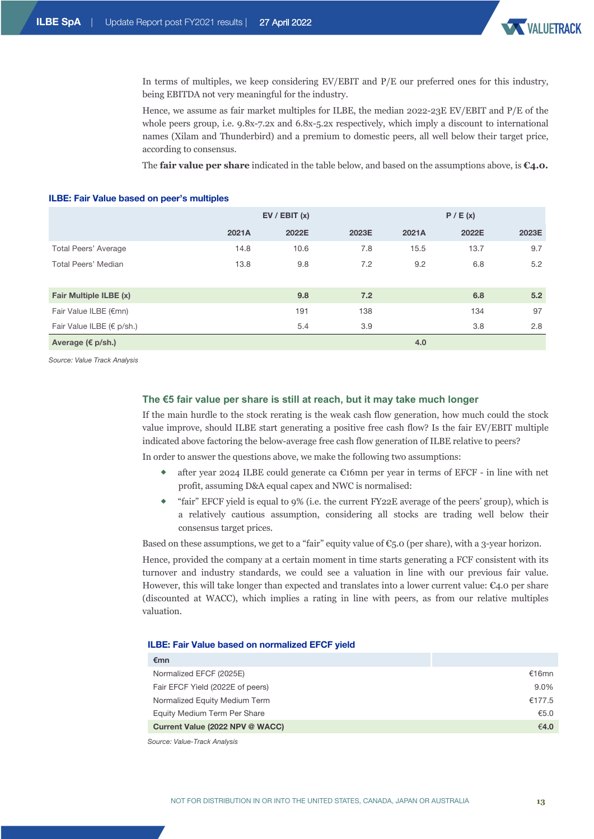

In terms of multiples, we keep considering EV/EBIT and P/E our preferred ones for this industry, being EBITDA not very meaningful for the industry.

Hence, we assume as fair market multiples for ILBE, the median 2022-23E EV/EBIT and P/E of the whole peers group, i.e.  $9.8x-7.2x$  and  $6.8x-5.2x$  respectively, which imply a discount to international names (Xilam and Thunderbird) and a premium to domestic peers, all well below their target price, according to consensus.

The **fair value per share** indicated in the table below, and based on the assumptions above, is **€4.0.**

### **ILBE: Fair Value based on peer's multiples**

|                           |       | EV / EBIT (x) | P / E (x) |       |       |       |
|---------------------------|-------|---------------|-----------|-------|-------|-------|
|                           | 2021A | 2022E         | 2023E     | 2021A | 2022E | 2023E |
| Total Peers' Average      | 14.8  | 10.6          | 7.8       | 15.5  | 13.7  | 9.7   |
| Total Peers' Median       | 13.8  | 9.8           | 7.2       | 9.2   | 6.8   | 5.2   |
| Fair Multiple ILBE (x)    |       | 9.8           | 7.2       |       | 6.8   | 5.2   |
| Fair Value ILBE (€mn)     |       | 191           | 138       |       | 134   | 97    |
| Fair Value ILBE (€ p/sh.) |       | 5.4           | 3.9       |       | 3.8   | 2.8   |
| Average (€ p/sh.)         |       |               |           | 4.0   |       |       |

*Source: Value Track Analysis*

### **The €5 fair value per share is still at reach, but it may take much longer**

If the main hurdle to the stock rerating is the weak cash flow generation, how much could the stock value improve, should ILBE start generating a positive free cash flow? Is the fair EV/EBIT multiple indicated above factoring the below-average free cash flow generation of ILBE relative to peers?

In order to answer the questions above, we make the following two assumptions:

- after year 2024 ILBE could generate ca  $\epsilon$ 16mn per year in terms of EFCF in line with net profit, assuming D&A equal capex and NWC is normalised:
- ® "fair" EFCF yield is equal to 9% (i.e. the current FY22E average of the peers' group), which is a relatively cautious assumption, considering all stocks are trading well below their consensus target prices.

Based on these assumptions, we get to a "fair" equity value of  $\mathfrak{C}_5$ . O (per share), with a 3-year horizon.

Hence, provided the company at a certain moment in time starts generating a FCF consistent with its turnover and industry standards, we could see a valuation in line with our previous fair value. However, this will take longer than expected and translates into a lower current value:  $\epsilon$ 4.0 per share (discounted at WACC), which implies a rating in line with peers, as from our relative multiples valuation.

#### **ILBE: Fair Value based on normalized EFCF yield**

| €mn                              |        |
|----------------------------------|--------|
| Normalized EFCF (2025E)          | €16mn  |
| Fair EFCF Yield (2022E of peers) | 9.0%   |
| Normalized Equity Medium Term    | €177.5 |
| Equity Medium Term Per Share     | €5.0   |
| Current Value (2022 NPV @ WACC)  | €4.0   |
| $\sim$ $\cdots$ $\cdots$         |        |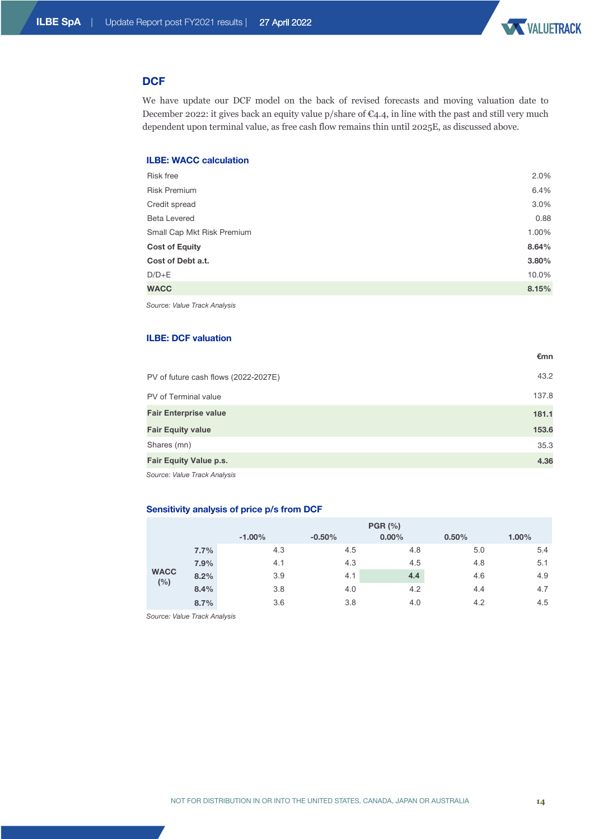

**€mn**

# **DCF**

We have update our DCF model on the back of revised forecasts and moving valuation date to December 2022: it gives back an equity value p/share of  $\mathfrak{C}_4$ .4, in line with the past and still very much dependent upon terminal value, as free cash flow remains thin until 2025E, as discussed above.

# **ILBE: WACC calculation**

| Risk free                  | 2.0%  |
|----------------------------|-------|
| <b>Risk Premium</b>        | 6.4%  |
| Credit spread              | 3.0%  |
| <b>Beta Levered</b>        | 0.88  |
| Small Cap Mkt Risk Premium | 1.00% |
| <b>Cost of Equity</b>      | 8.64% |
| Cost of Debt a.t.          | 3.80% |
| $D/D + E$                  | 10.0% |
| <b>WACC</b>                | 8.15% |
|                            |       |

*Source: Value Track Analysis*

## **ILBE: DCF valuation**

| PV of future cash flows (2022-2027E) | 43.2  |
|--------------------------------------|-------|
| PV of Terminal value                 | 137.8 |
| <b>Fair Enterprise value</b>         | 181.1 |
| <b>Fair Equity value</b>             | 153.6 |
| Shares (mn)                          | 35.3  |
| <b>Fair Equity Value p.s.</b>        | 4.36  |
|                                      |       |

*Source: Value Track Analysis*

## **Sensitivity analysis of price p/s from DCF**

|                    |      | <b>PGR (%)</b> |          |          |       |          |  |  |
|--------------------|------|----------------|----------|----------|-------|----------|--|--|
|                    |      | $-1.00%$       | $-0.50%$ | $0.00\%$ | 0.50% | $1.00\%$ |  |  |
|                    | 7.7% | 4.3            | 4.5      | 4.8      | 5.0   | 5.4      |  |  |
|                    | 7.9% | 4.1            | 4.3      | 4.5      | 4.8   | 5.1      |  |  |
| <b>WACC</b><br>(%) | 8.2% | 3.9            | 4.1      | 4.4      | 4.6   | 4.9      |  |  |
|                    | 8.4% | 3.8            | 4.0      | 4.2      | 4.4   | 4.7      |  |  |
|                    | 8.7% | 3.6            | 3.8      | 4.0      | 4.2   | 4.5      |  |  |